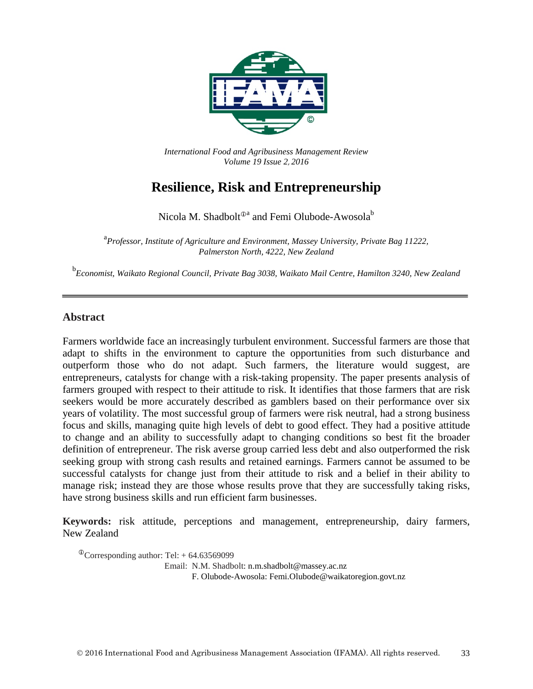

*International Food and Agribusiness Management Review Volume 19 Issue 2*, *2016*

# **Resilience, Risk and Entrepreneurship**

Nicola M. Shadbolt<sup> $\mathbb{O}^a$ </sup> and Femi Olubode-Awosola<sup>b</sup>

<sup>a</sup> Professor, Institute of Agriculture and Environment, Massey University, Private Bag 11222, *Palmerston North, 4222, New Zealand*

b *Economist, Waikato Regional Council, Private Bag 3038, Waikato Mail Centre, Hamilton 3240, New Zealand*

### **Abstract**

Farmers worldwide face an increasingly turbulent environment. Successful farmers are those that adapt to shifts in the environment to capture the opportunities from such disturbance and outperform those who do not adapt. Such farmers, the literature would suggest, are entrepreneurs, catalysts for change with a risk-taking propensity. The paper presents analysis of farmers grouped with respect to their attitude to risk. It identifies that those farmers that are risk seekers would be more accurately described as gamblers based on their performance over six years of volatility. The most successful group of farmers were risk neutral, had a strong business focus and skills, managing quite high levels of debt to good effect. They had a positive attitude to change and an ability to successfully adapt to changing conditions so best fit the broader definition of entrepreneur. The risk averse group carried less debt and also outperformed the risk seeking group with strong cash results and retained earnings. Farmers cannot be assumed to be successful catalysts for change just from their attitude to risk and a belief in their ability to manage risk; instead they are those whose results prove that they are successfully taking risks, have strong business skills and run efficient farm businesses.

**Keywords:** risk attitude, perceptions and management, entrepreneurship, dairy farmers, New Zealand

 $^{\circ}$ Corresponding author: Tel: + 64.63569099

Email: N.M. Shadbolt: n.m.shadbolt@massey.ac.nz

F. Olubode-Awosola: Femi.Olubode@waikatoregion.govt.nz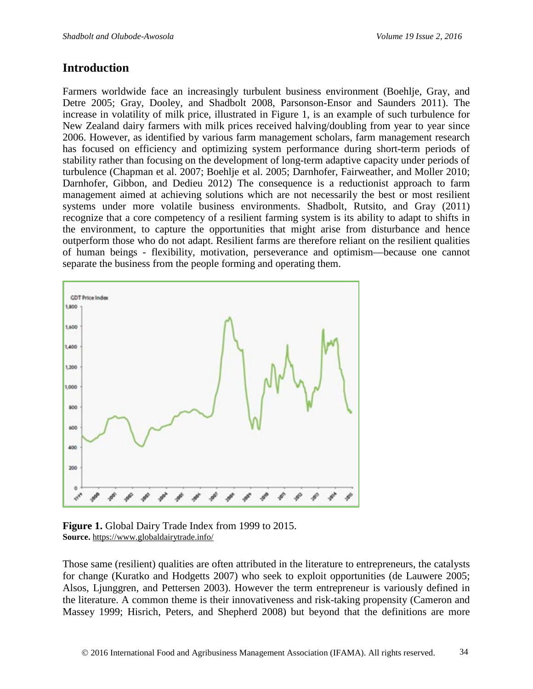### **Introduction**

Farmers worldwide face an increasingly turbulent business environment (Boehlje, Gray, and Detre 2005; Gray, Dooley, and Shadbolt 2008, Parsonson-Ensor and Saunders 2011). The increase in volatility of milk price, illustrated in Figure 1, is an example of such turbulence for New Zealand dairy farmers with milk prices received halving/doubling from year to year since 2006. However, as identified by various farm management scholars, farm management research has focused on efficiency and optimizing system performance during short-term periods of stability rather than focusing on the development of long-term adaptive capacity under periods of turbulence (Chapman et al. 2007; Boehlje et al. 2005; Darnhofer, Fairweather, and Moller 2010; Darnhofer, Gibbon, and Dedieu 2012) The consequence is a reductionist approach to farm management aimed at achieving solutions which are not necessarily the best or most resilient systems under more volatile business environments. Shadbolt, Rutsito, and Gray (2011) recognize that a core competency of a resilient farming system is its ability to adapt to shifts in the environment, to capture the opportunities that might arise from disturbance and hence outperform those who do not adapt. Resilient farms are therefore reliant on the resilient qualities of human beings - flexibility, motivation, perseverance and optimism—because one cannot separate the business from the people forming and operating them.



**Figure 1.** Global Dairy Trade Index from 1999 to 2015. **Source.** <https://www.globaldairytrade.info/>

Those same (resilient) qualities are often attributed in the literature to entrepreneurs, the catalysts for change (Kuratko and Hodgetts 2007) who seek to exploit opportunities (de Lauwere 2005; Alsos, Ljunggren, and Pettersen 2003). However the term entrepreneur is variously defined in the literature. A common theme is their innovativeness and risk-taking propensity (Cameron and Massey 1999; Hisrich, Peters, and Shepherd 2008) but beyond that the definitions are more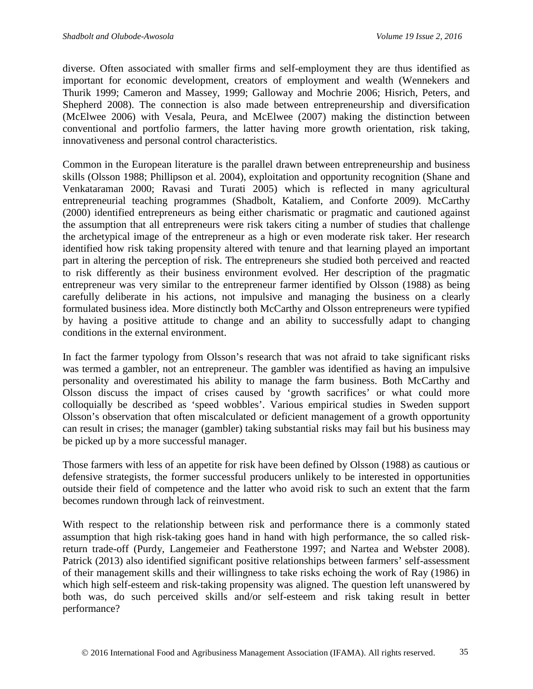diverse. Often associated with smaller firms and self-employment they are thus identified as important for economic development, creators of employment and wealth (Wennekers and Thurik 1999; Cameron and Massey, 1999; Galloway and Mochrie 2006; Hisrich, Peters, and Shepherd 2008). The connection is also made between entrepreneurship and diversification (McElwee 2006) with Vesala, Peura, and McElwee (2007) making the distinction between conventional and portfolio farmers, the latter having more growth orientation, risk taking, innovativeness and personal control characteristics.

Common in the European literature is the parallel drawn between entrepreneurship and business skills (Olsson 1988; Phillipson et al. 2004), exploitation and opportunity recognition (Shane and Venkataraman 2000; Ravasi and Turati 2005) which is reflected in many agricultural entrepreneurial teaching programmes (Shadbolt, Kataliem, and Conforte 2009). McCarthy (2000) identified entrepreneurs as being either charismatic or pragmatic and cautioned against the assumption that all entrepreneurs were risk takers citing a number of studies that challenge the archetypical image of the entrepreneur as a high or even moderate risk taker. Her research identified how risk taking propensity altered with tenure and that learning played an important part in altering the perception of risk. The entrepreneurs she studied both perceived and reacted to risk differently as their business environment evolved. Her description of the pragmatic entrepreneur was very similar to the entrepreneur farmer identified by Olsson (1988) as being carefully deliberate in his actions, not impulsive and managing the business on a clearly formulated business idea. More distinctly both McCarthy and Olsson entrepreneurs were typified by having a positive attitude to change and an ability to successfully adapt to changing conditions in the external environment.

In fact the farmer typology from Olsson's research that was not afraid to take significant risks was termed a gambler, not an entrepreneur. The gambler was identified as having an impulsive personality and overestimated his ability to manage the farm business. Both McCarthy and Olsson discuss the impact of crises caused by 'growth sacrifices' or what could more colloquially be described as 'speed wobbles'. Various empirical studies in Sweden support Olsson's observation that often miscalculated or deficient management of a growth opportunity can result in crises; the manager (gambler) taking substantial risks may fail but his business may be picked up by a more successful manager.

Those farmers with less of an appetite for risk have been defined by Olsson (1988) as cautious or defensive strategists, the former successful producers unlikely to be interested in opportunities outside their field of competence and the latter who avoid risk to such an extent that the farm becomes rundown through lack of reinvestment.

With respect to the relationship between risk and performance there is a commonly stated assumption that high risk-taking goes hand in hand with high performance, the so called riskreturn trade-off (Purdy, Langemeier and Featherstone 1997; and Nartea and Webster 2008). Patrick (2013) also identified significant positive relationships between farmers' self-assessment of their management skills and their willingness to take risks echoing the work of Ray (1986) in which high self-esteem and risk-taking propensity was aligned. The question left unanswered by both was, do such perceived skills and/or self-esteem and risk taking result in better performance?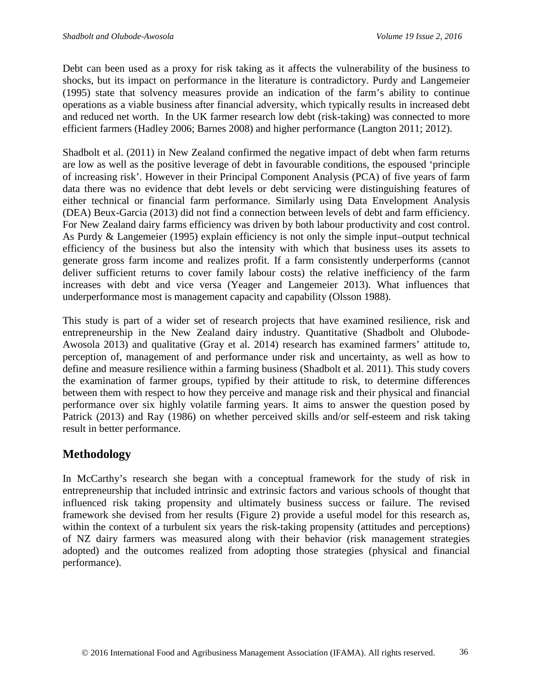Debt can been used as a proxy for risk taking as it affects the vulnerability of the business to shocks, but its impact on performance in the literature is contradictory. Purdy and Langemeier (1995) state that solvency measures provide an indication of the farm's ability to continue operations as a viable business after financial adversity, which typically results in increased debt and reduced net worth. In the UK farmer research low debt (risk-taking) was connected to more efficient farmers (Hadley 2006; Barnes 2008) and higher performance (Langton 2011; 2012).

Shadbolt et al. (2011) in New Zealand confirmed the negative impact of debt when farm returns are low as well as the positive leverage of debt in favourable conditions, the espoused 'principle of increasing risk'. However in their Principal Component Analysis (PCA) of five years of farm data there was no evidence that debt levels or debt servicing were distinguishing features of either technical or financial farm performance. Similarly using Data Envelopment Analysis (DEA) Beux-Garcia (2013) did not find a connection between levels of debt and farm efficiency. For New Zealand dairy farms efficiency was driven by both labour productivity and cost control. As Purdy & Langemeier (1995) explain efficiency is not only the simple input–output technical efficiency of the business but also the intensity with which that business uses its assets to generate gross farm income and realizes profit. If a farm consistently underperforms (cannot deliver sufficient returns to cover family labour costs) the relative inefficiency of the farm increases with debt and vice versa (Yeager and Langemeier 2013). What influences that underperformance most is management capacity and capability (Olsson 1988).

This study is part of a wider set of research projects that have examined resilience, risk and entrepreneurship in the New Zealand dairy industry. Quantitative (Shadbolt and Olubode-Awosola 2013) and qualitative (Gray et al. 2014) research has examined farmers' attitude to, perception of, management of and performance under risk and uncertainty, as well as how to define and measure resilience within a farming business (Shadbolt et al. 2011). This study covers the examination of farmer groups, typified by their attitude to risk, to determine differences between them with respect to how they perceive and manage risk and their physical and financial performance over six highly volatile farming years. It aims to answer the question posed by Patrick (2013) and Ray (1986) on whether perceived skills and/or self-esteem and risk taking result in better performance.

# **Methodology**

In McCarthy's research she began with a conceptual framework for the study of risk in entrepreneurship that included intrinsic and extrinsic factors and various schools of thought that influenced risk taking propensity and ultimately business success or failure. The revised framework she devised from her results (Figure 2) provide a useful model for this research as, within the context of a turbulent six years the risk-taking propensity (attitudes and perceptions) of NZ dairy farmers was measured along with their behavior (risk management strategies adopted) and the outcomes realized from adopting those strategies (physical and financial performance).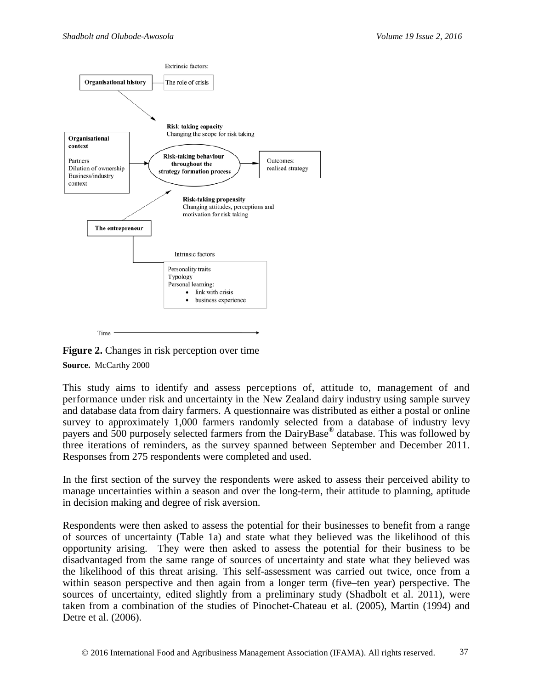

**Figure 2.** Changes in risk perception over time

**Source.** McCarthy 2000

This study aims to identify and assess perceptions of, attitude to, management of and performance under risk and uncertainty in the New Zealand dairy industry using sample survey and database data from dairy farmers. A questionnaire was distributed as either a postal or online survey to approximately 1,000 farmers randomly selected from a database of industry levy payers and 500 purposely selected farmers from the DairyBase® database. This was followed by three iterations of reminders, as the survey spanned between September and December 2011. Responses from 275 respondents were completed and used.

In the first section of the survey the respondents were asked to assess their perceived ability to manage uncertainties within a season and over the long-term, their attitude to planning, aptitude in decision making and degree of risk aversion.

Respondents were then asked to assess the potential for their businesses to benefit from a range of sources of uncertainty (Table 1a) and state what they believed was the likelihood of this opportunity arising. They were then asked to assess the potential for their business to be disadvantaged from the same range of sources of uncertainty and state what they believed was the likelihood of this threat arising. This self-assessment was carried out twice, once from a within season perspective and then again from a longer term (five–ten year) perspective. The sources of uncertainty, edited slightly from a preliminary study (Shadbolt et al. 2011), were taken from a combination of the studies of Pinochet-Chateau et al. (2005), Martin (1994) and Detre et al. (2006).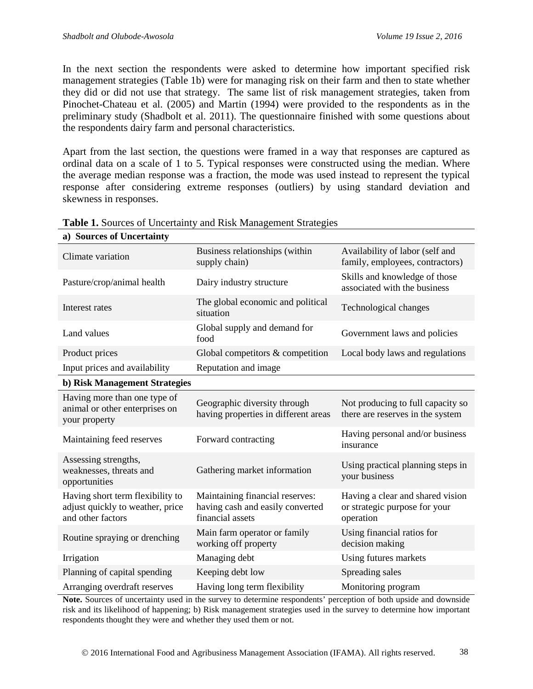**a) Sources of Uncertainty**

In the next section the respondents were asked to determine how important specified risk management strategies (Table 1b) were for managing risk on their farm and then to state whether they did or did not use that strategy. The same list of risk management strategies, taken from Pinochet-Chateau et al. (2005) and Martin (1994) were provided to the respondents as in the preliminary study (Shadbolt et al. 2011). The questionnaire finished with some questions about the respondents dairy farm and personal characteristics.

Apart from the last section, the questions were framed in a way that responses are captured as ordinal data on a scale of 1 to 5. Typical responses were constructed using the median. Where the average median response was a fraction, the mode was used instead to represent the typical response after considering extreme responses (outliers) by using standard deviation and skewness in responses.

| a) bources or Uncertainty                                                                 |                                                                                         |                                                                                |
|-------------------------------------------------------------------------------------------|-----------------------------------------------------------------------------------------|--------------------------------------------------------------------------------|
| Climate variation                                                                         | Business relationships (within<br>supply chain)                                         | Availability of labor (self and<br>family, employees, contractors)             |
| Pasture/crop/animal health                                                                | Dairy industry structure                                                                | Skills and knowledge of those<br>associated with the business                  |
| Interest rates                                                                            | The global economic and political<br>situation                                          | Technological changes                                                          |
| Land values                                                                               | Global supply and demand for<br>food                                                    | Government laws and policies                                                   |
| Product prices                                                                            | Global competitors & competition                                                        | Local body laws and regulations                                                |
| Input prices and availability                                                             | Reputation and image                                                                    |                                                                                |
| b) Risk Management Strategies                                                             |                                                                                         |                                                                                |
| Having more than one type of<br>animal or other enterprises on<br>your property           | Geographic diversity through<br>having properties in different areas                    | Not producing to full capacity so<br>there are reserves in the system          |
| Maintaining feed reserves                                                                 | Forward contracting                                                                     | Having personal and/or business<br>insurance                                   |
| Assessing strengths,<br>weaknesses, threats and<br>opportunities                          | Gathering market information                                                            | Using practical planning steps in<br>your business                             |
| Having short term flexibility to<br>adjust quickly to weather, price<br>and other factors | Maintaining financial reserves:<br>having cash and easily converted<br>financial assets | Having a clear and shared vision<br>or strategic purpose for your<br>operation |
| Routine spraying or drenching                                                             | Main farm operator or family<br>working off property                                    | Using financial ratios for<br>decision making                                  |
| Irrigation                                                                                | Managing debt                                                                           | Using futures markets                                                          |
| Planning of capital spending                                                              | Keeping debt low                                                                        | Spreading sales                                                                |
| Arranging overdraft reserves                                                              | Having long term flexibility                                                            | Monitoring program                                                             |

#### **Table 1.** Sources of Uncertainty and Risk Management Strategies

**Note.** Sources of uncertainty used in the survey to determine respondents' perception of both upside and downside risk and its likelihood of happening; b) Risk management strategies used in the survey to determine how important respondents thought they were and whether they used them or not.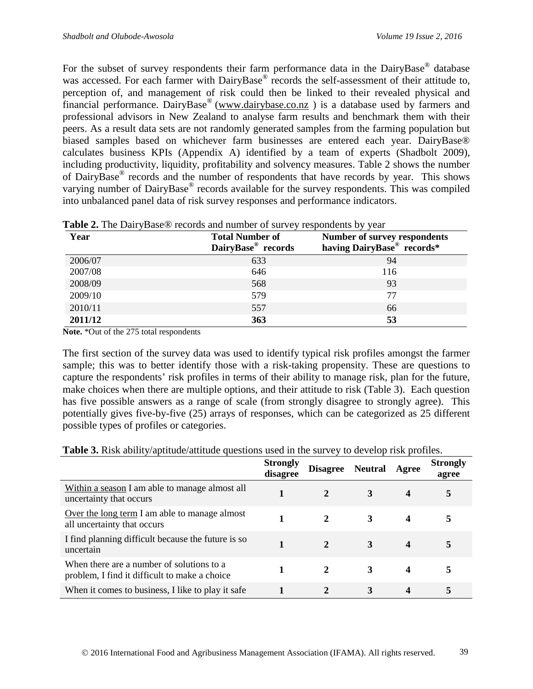For the subset of survey respondents their farm performance data in the DairyBase<sup>®</sup> database was accessed. For each farmer with DairyBase® records the self-assessment of their attitude to, perception of, and management of risk could then be linked to their revealed physical and financial performance. DairyBase® [\(www.dairybase.co.nz](http://www.dairybase.co.nz/) ) is a database used by farmers and professional advisors in New Zealand to analyse farm results and benchmark them with their peers. As a result data sets are not randomly generated samples from the farming population but biased samples based on whichever farm businesses are entered each year. DairyBase® calculates business KPIs (Appendix A) identified by a team of experts (Shadbolt 2009), including productivity, liquidity, profitability and solvency measures. Table 2 shows the number of DairyBase® records and the number of respondents that have records by year. This shows varying number of DairyBase® records available for the survey respondents. This was compiled into unbalanced panel data of risk survey responses and performance indicators.

| Year    | <b>Total Number of</b><br>DairyBase <sup>®</sup> records | Number of survey respondents<br>having DairyBase® records* |
|---------|----------------------------------------------------------|------------------------------------------------------------|
| 2006/07 | 633                                                      | 94                                                         |
| 2007/08 | 646                                                      | 116                                                        |
| 2008/09 | 568                                                      | 93                                                         |
| 2009/10 | 579                                                      | 77                                                         |
| 2010/11 | 557                                                      | 66                                                         |
| 2011/12 | 363                                                      | 53                                                         |

| Table 2. The DairyBase® records and number of survey respondents by year |  |
|--------------------------------------------------------------------------|--|
|--------------------------------------------------------------------------|--|

**Note.** \*Out of the 275 total respondents

The first section of the survey data was used to identify typical risk profiles amongst the farmer sample; this was to better identify those with a risk-taking propensity. These are questions to capture the respondents' risk profiles in terms of their ability to manage risk, plan for the future, make choices when there are multiple options, and their attitude to risk (Table 3). Each question has five possible answers as a range of scale (from strongly disagree to strongly agree). This potentially gives five-by-five (25) arrays of responses, which can be categorized as 25 different possible types of profiles or categories.

|                                                                                            | <b>Strongly</b><br>disagree | Disagree Neutral Agree |   |                         | <b>Strongly</b><br>agree |
|--------------------------------------------------------------------------------------------|-----------------------------|------------------------|---|-------------------------|--------------------------|
| Within a season I am able to manage almost all<br>uncertainty that occurs                  |                             |                        |   | $\overline{\mathbf{4}}$ | 5                        |
| Over the long term I am able to manage almost<br>all uncertainty that occurs               |                             |                        | 3 |                         | 5                        |
| I find planning difficult because the future is so<br>uncertain                            |                             | 2                      |   |                         | 5                        |
| When there are a number of solutions to a<br>problem, I find it difficult to make a choice |                             |                        | 3 |                         | 5                        |
| When it comes to business, I like to play it safe                                          |                             |                        | 3 |                         | 5                        |

#### **Table 3.** Risk ability/aptitude/attitude questions used in the survey to develop risk profiles.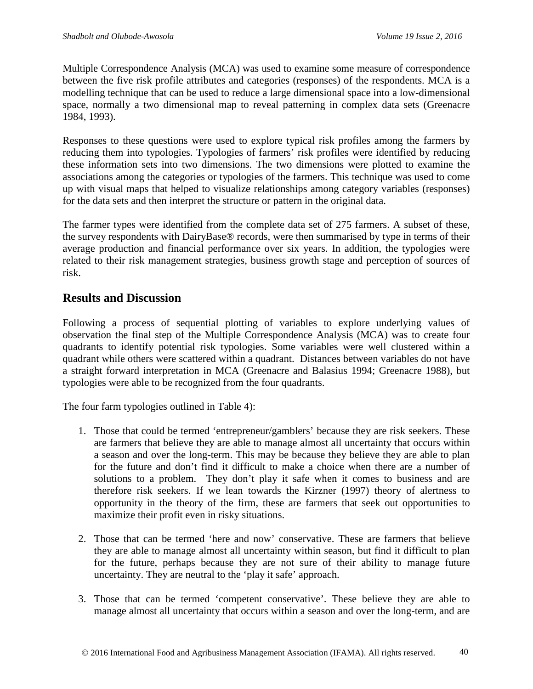Multiple Correspondence Analysis (MCA) was used to examine some measure of correspondence between the five risk profile attributes and categories (responses) of the respondents. MCA is a modelling technique that can be used to reduce a large dimensional space into a low-dimensional space, normally a two dimensional map to reveal patterning in complex data sets (Greenacre 1984, 1993).

Responses to these questions were used to explore typical risk profiles among the farmers by reducing them into typologies. Typologies of farmers' risk profiles were identified by reducing these information sets into two dimensions. The two dimensions were plotted to examine the associations among the categories or typologies of the farmers. This technique was used to come up with visual maps that helped to visualize relationships among category variables (responses) for the data sets and then interpret the structure or pattern in the original data.

The farmer types were identified from the complete data set of 275 farmers. A subset of these, the survey respondents with DairyBase® records, were then summarised by type in terms of their average production and financial performance over six years. In addition, the typologies were related to their risk management strategies, business growth stage and perception of sources of risk.

### **Results and Discussion**

Following a process of sequential plotting of variables to explore underlying values of observation the final step of the Multiple Correspondence Analysis (MCA) was to create four quadrants to identify potential risk typologies. Some variables were well clustered within a quadrant while others were scattered within a quadrant. Distances between variables do not have a straight forward interpretation in MCA (Greenacre and Balasius 1994; Greenacre 1988), but typologies were able to be recognized from the four quadrants.

The four farm typologies outlined in Table 4):

- 1. Those that could be termed 'entrepreneur/gamblers' because they are risk seekers. These are farmers that believe they are able to manage almost all uncertainty that occurs within a season and over the long-term. This may be because they believe they are able to plan for the future and don't find it difficult to make a choice when there are a number of solutions to a problem. They don't play it safe when it comes to business and are therefore risk seekers. If we lean towards the Kirzner (1997) theory of alertness to opportunity in the theory of the firm, these are farmers that seek out opportunities to maximize their profit even in risky situations.
- 2. Those that can be termed 'here and now' conservative. These are farmers that believe they are able to manage almost all uncertainty within season, but find it difficult to plan for the future, perhaps because they are not sure of their ability to manage future uncertainty. They are neutral to the 'play it safe' approach.
- 3. Those that can be termed 'competent conservative'. These believe they are able to manage almost all uncertainty that occurs within a season and over the long-term, and are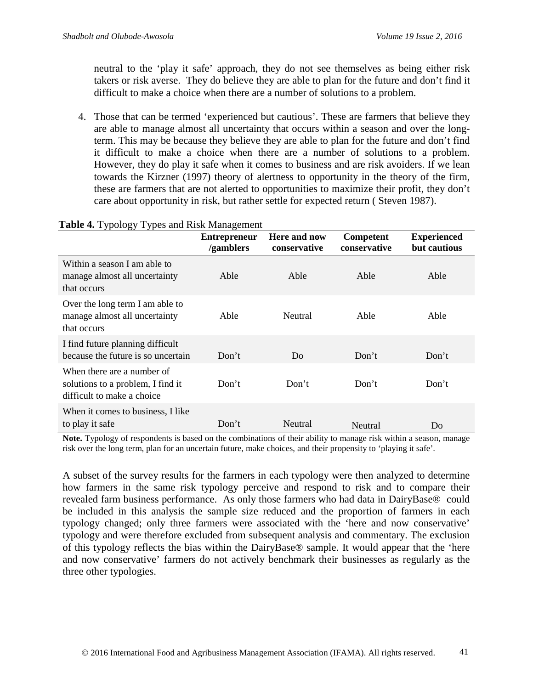neutral to the 'play it safe' approach, they do not see themselves as being either risk takers or risk averse. They do believe they are able to plan for the future and don't find it difficult to make a choice when there are a number of solutions to a problem.

4. Those that can be termed 'experienced but cautious'. These are farmers that believe they are able to manage almost all uncertainty that occurs within a season and over the longterm. This may be because they believe they are able to plan for the future and don't find it difficult to make a choice when there are a number of solutions to a problem. However, they do play it safe when it comes to business and are risk avoiders. If we lean towards the Kirzner (1997) theory of alertness to opportunity in the theory of the firm, these are farmers that are not alerted to opportunities to maximize their profit, they don't care about opportunity in risk, but rather settle for expected return ( Steven 1987).

|                                                                                               | <b>Entrepreneur</b><br>/gamblers | Here and now<br>conservative | Competent<br>conservative | <b>Experienced</b><br>but cautious |
|-----------------------------------------------------------------------------------------------|----------------------------------|------------------------------|---------------------------|------------------------------------|
| Within a season I am able to<br>manage almost all uncertainty<br>that occurs                  | Able                             | Able                         | Able                      | Able                               |
| Over the long term I am able to<br>manage almost all uncertainty<br>that occurs               | Able                             | Neutral                      | Able                      | Able                               |
| I find future planning difficult<br>because the future is so uncertain                        | Don't                            | Do                           | Don't                     | Don't                              |
| When there are a number of<br>solutions to a problem, I find it<br>difficult to make a choice | Don't                            | Don't                        | Don't                     | Don't                              |
| When it comes to business, I like<br>to play it safe                                          | Don't                            | Neutral                      | <b>Neutral</b>            | Do                                 |

### **Table 4.** Typology Types and Risk Management

**Note.** Typology of respondents is based on the combinations of their ability to manage risk within a season, manage risk over the long term, plan for an uncertain future, make choices, and their propensity to 'playing it safe'.

A subset of the survey results for the farmers in each typology were then analyzed to determine how farmers in the same risk typology perceive and respond to risk and to compare their revealed farm business performance. As only those farmers who had data in DairyBase® could be included in this analysis the sample size reduced and the proportion of farmers in each typology changed; only three farmers were associated with the 'here and now conservative' typology and were therefore excluded from subsequent analysis and commentary. The exclusion of this typology reflects the bias within the DairyBase® sample. It would appear that the 'here and now conservative' farmers do not actively benchmark their businesses as regularly as the three other typologies.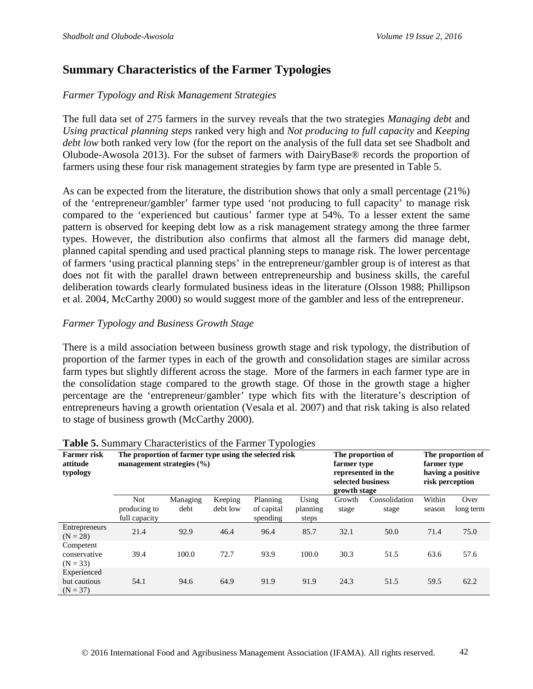## **Summary Characteristics of the Farmer Typologies**

#### *Farmer Typology and Risk Management Strategies*

The full data set of 275 farmers in the survey reveals that the two strategies *Managing debt* and *Using practical planning steps* ranked very high and *Not producing to full capacity* and *Keeping debt low* both ranked very low (for the report on the analysis of the full data set see Shadbolt and Olubode-Awosola 2013). For the subset of farmers with DairyBase® records the proportion of farmers using these four risk management strategies by farm type are presented in Table 5.

As can be expected from the literature, the distribution shows that only a small percentage (21%) of the 'entrepreneur/gambler' farmer type used 'not producing to full capacity' to manage risk compared to the 'experienced but cautious' farmer type at 54%. To a lesser extent the same pattern is observed for keeping debt low as a risk management strategy among the three farmer types. However, the distribution also confirms that almost all the farmers did manage debt, planned capital spending and used practical planning steps to manage risk. The lower percentage of farmers 'using practical planning steps' in the entrepreneur/gambler group is of interest as that does not fit with the parallel drawn between entrepreneurship and business skills, the careful deliberation towards clearly formulated business ideas in the literature (Olsson 1988; Phillipson et al. 2004, McCarthy 2000) so would suggest more of the gambler and less of the entrepreneur.

#### *Farmer Typology and Business Growth Stage*

There is a mild association between business growth stage and risk typology, the distribution of proportion of the farmer types in each of the growth and consolidation stages are similar across farm types but slightly different across the stage. More of the farmers in each farmer type are in the consolidation stage compared to the growth stage. Of those in the growth stage a higher percentage are the 'entrepreneur/gambler' type which fits with the literature's description of entrepreneurs having a growth orientation (Vesala et al. 2007) and that risk taking is also related to stage of business growth (McCarthy 2000).

| <b>Table 5.</b> Summary Characteristics of the Partner Typologies |                                                                                                |                  |                     |                                    |                                                                                             |                 |                                                                          |                  |                   |
|-------------------------------------------------------------------|------------------------------------------------------------------------------------------------|------------------|---------------------|------------------------------------|---------------------------------------------------------------------------------------------|-----------------|--------------------------------------------------------------------------|------------------|-------------------|
| <b>Farmer risk</b><br>attitude<br>typology                        | The proportion of farmer type using the selected risk<br>management strategies $(\frac{6}{6})$ |                  |                     |                                    | The proportion of<br>farmer type<br>represented in the<br>selected business<br>growth stage |                 | The proportion of<br>farmer type<br>having a positive<br>risk perception |                  |                   |
|                                                                   | <b>Not</b><br>producing to<br>full capacity                                                    | Managing<br>debt | Keeping<br>debt low | Planning<br>of capital<br>spending | Using<br>planning<br>steps                                                                  | Growth<br>stage | Consolidation<br>stage                                                   | Within<br>season | Over<br>long term |
| Entrepreneurs<br>$(N = 28)$                                       | 21.4                                                                                           | 92.9             | 46.4                | 96.4                               | 85.7                                                                                        | 32.1            | 50.0                                                                     | 71.4             | 75.0              |
| Competent<br>conservative<br>$(N = 33)$                           | 39.4                                                                                           | 100.0            | 72.7                | 93.9                               | 100.0                                                                                       | 30.3            | 51.5                                                                     | 63.6             | 57.6              |
| Experienced<br>but cautious<br>$(N = 37)$                         | 54.1                                                                                           | 94.6             | 64.9                | 91.9                               | 91.9                                                                                        | 24.3            | 51.5                                                                     | 59.5             | 62.2              |

#### **Table 5.** Summary Characteristics of the Farmer Typologies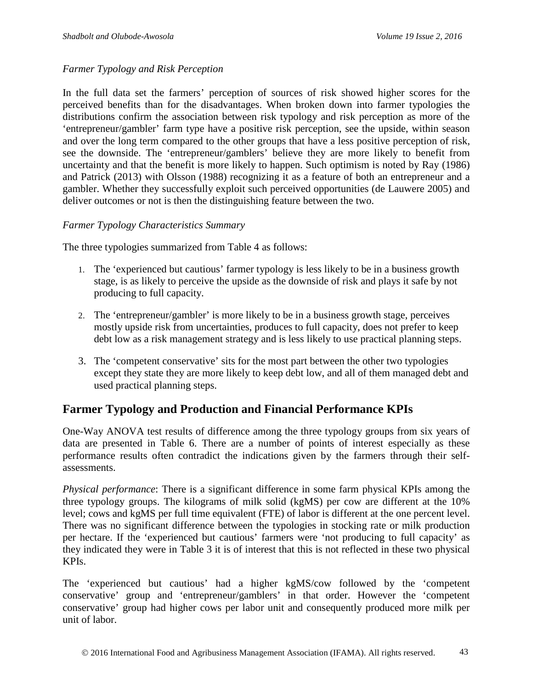### *Farmer Typology and Risk Perception*

In the full data set the farmers' perception of sources of risk showed higher scores for the perceived benefits than for the disadvantages. When broken down into farmer typologies the distributions confirm the association between risk typology and risk perception as more of the 'entrepreneur/gambler' farm type have a positive risk perception, see the upside, within season and over the long term compared to the other groups that have a less positive perception of risk, see the downside. The 'entrepreneur/gamblers' believe they are more likely to benefit from uncertainty and that the benefit is more likely to happen. Such optimism is noted by Ray (1986) and Patrick (2013) with Olsson (1988) recognizing it as a feature of both an entrepreneur and a gambler. Whether they successfully exploit such perceived opportunities (de Lauwere 2005) and deliver outcomes or not is then the distinguishing feature between the two.

### *Farmer Typology Characteristics Summary*

The three typologies summarized from Table 4 as follows:

- 1. The 'experienced but cautious' farmer typology is less likely to be in a business growth stage, is as likely to perceive the upside as the downside of risk and plays it safe by not producing to full capacity.
- 2. The 'entrepreneur/gambler' is more likely to be in a business growth stage, perceives mostly upside risk from uncertainties, produces to full capacity, does not prefer to keep debt low as a risk management strategy and is less likely to use practical planning steps.
- 3. The 'competent conservative' sits for the most part between the other two typologies except they state they are more likely to keep debt low, and all of them managed debt and used practical planning steps.

## **Farmer Typology and Production and Financial Performance KPIs**

One-Way ANOVA test results of difference among the three typology groups from six years of data are presented in Table 6. There are a number of points of interest especially as these performance results often contradict the indications given by the farmers through their selfassessments.

*Physical performance*: There is a significant difference in some farm physical KPIs among the three typology groups. The kilograms of milk solid (kgMS) per cow are different at the 10% level; cows and kgMS per full time equivalent (FTE) of labor is different at the one percent level. There was no significant difference between the typologies in stocking rate or milk production per hectare. If the 'experienced but cautious' farmers were 'not producing to full capacity' as they indicated they were in Table 3 it is of interest that this is not reflected in these two physical KPIs.

The 'experienced but cautious' had a higher kgMS/cow followed by the 'competent conservative' group and 'entrepreneur/gamblers' in that order. However the 'competent conservative' group had higher cows per labor unit and consequently produced more milk per unit of labor.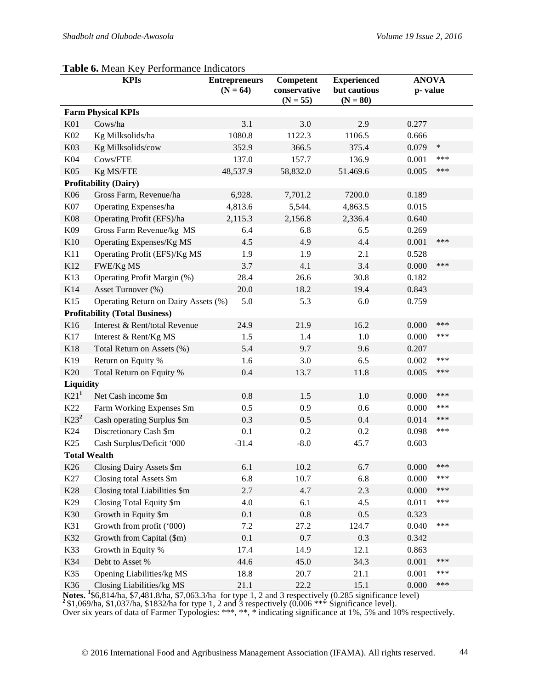#### **Table 6.** Mean Key Performance Indicators

|                  | <b>KPIs</b>                           | <b>Entrepreneurs</b><br>Competent<br>$(N = 64)$<br>conservative<br>$(N = 55)$ |          | <b>Experienced</b><br>but cautious<br>$(N = 80)$ | <b>ANOVA</b><br>p-value |
|------------------|---------------------------------------|-------------------------------------------------------------------------------|----------|--------------------------------------------------|-------------------------|
|                  | <b>Farm Physical KPIs</b>             |                                                                               |          |                                                  |                         |
| K <sub>01</sub>  | Cows/ha                               | 3.1                                                                           | 3.0      | 2.9                                              | 0.277                   |
| K02              | Kg Milksolids/ha                      | 1080.8                                                                        | 1122.3   | 1106.5                                           | 0.666                   |
| K03              | Kg Milksolids/cow                     | 352.9                                                                         | 366.5    | 375.4                                            | $\ast$<br>0.079         |
| K04              | Cows/FTE                              | 137.0                                                                         | 157.7    | 136.9                                            | ***<br>0.001            |
| K05              | Kg MS/FTE                             | 48,537.9                                                                      | 58,832.0 | 51.469.6                                         | ***<br>0.005            |
|                  | <b>Profitability (Dairy)</b>          |                                                                               |          |                                                  |                         |
| K06              | Gross Farm, Revenue/ha                | 6,928.                                                                        | 7,701.2  | 7200.0                                           | 0.189                   |
| K07              | Operating Expenses/ha                 | 4,813.6                                                                       | 5,544.   | 4,863.5                                          | 0.015                   |
| K08              | Operating Profit (EFS)/ha             | 2,115.3                                                                       | 2,156.8  | 2,336.4                                          | 0.640                   |
| K09              | Gross Farm Revenue/kg MS              | 6.4                                                                           | 6.8      | 6.5                                              | 0.269                   |
| K10              | Operating Expenses/Kg MS              | 4.5                                                                           | 4.9      | 4.4                                              | ***<br>0.001            |
| K11              | Operating Profit (EFS)/Kg MS          | 1.9                                                                           | 1.9      | 2.1                                              | 0.528                   |
| K12              | FWE/Kg MS                             | 3.7                                                                           | 4.1      | 3.4                                              | 0.000<br>***            |
| K13              | Operating Profit Margin (%)           | 28.4                                                                          | 26.6     | 30.8                                             | 0.182                   |
| K14              | Asset Turnover (%)                    | 20.0                                                                          | 18.2     | 19.4                                             | 0.843                   |
| K15              | Operating Return on Dairy Assets (%)  | 5.0                                                                           | 5.3      | 6.0                                              | 0.759                   |
|                  | <b>Profitability (Total Business)</b> |                                                                               |          |                                                  |                         |
| K16              | Interest & Rent/total Revenue         | 24.9                                                                          | 21.9     | 16.2                                             | ***<br>0.000            |
| K17              | Interest & Rent/Kg MS                 | 1.5                                                                           | 1.4      | 1.0                                              | ***<br>0.000            |
| K18              | Total Return on Assets (%)            | 5.4                                                                           | 9.7      | 9.6                                              | 0.207                   |
| K19              | Return on Equity %                    | 1.6                                                                           | 3.0      | 6.5                                              | ***<br>0.002            |
| K20              | Total Return on Equity %              | 0.4                                                                           | 13.7     | 11.8                                             | ***<br>0.005            |
| Liquidity        |                                       |                                                                               |          |                                                  |                         |
| K21 <sup>1</sup> | Net Cash income \$m                   | 0.8                                                                           | 1.5      | 1.0                                              | ***<br>0.000            |
| K22              | Farm Working Expenses \$m             | 0.5                                                                           | 0.9      | 0.6                                              | ***<br>0.000            |
| K23 <sup>2</sup> | Cash operating Surplus \$m            | 0.3                                                                           | 0.5      | 0.4                                              | ***<br>0.014            |
| K24              | Discretionary Cash \$m                | 0.1                                                                           | 0.2      | 0.2                                              | ***<br>0.098            |
| K <sub>25</sub>  | Cash Surplus/Deficit '000             | $-31.4$                                                                       | $-8.0$   | 45.7                                             | 0.603                   |
|                  | <b>Total Wealth</b>                   |                                                                               |          |                                                  |                         |
| K26              | Closing Dairy Assets \$m              | 6.1                                                                           | 10.2     | 6.7                                              | 0.000<br>***            |
| K27              | Closing total Assets \$m              | 6.8                                                                           | 10.7     | 6.8                                              | ***<br>0.000            |
| K28              | Closing total Liabilities \$m         | 2.7                                                                           | 4.7      | 2.3                                              | ***<br>0.000            |
| K29              | Closing Total Equity \$m              | 4.0                                                                           | 6.1      | 4.5                                              | ***<br>0.011            |
| K30              | Growth in Equity \$m                  | 0.1                                                                           | 0.8      | 0.5                                              | 0.323                   |
| K31              | Growth from profit ('000)             | $7.2\,$                                                                       | 27.2     | 124.7                                            | ***<br>0.040            |
| K32              | Growth from Capital (\$m)             | 0.1                                                                           | 0.7      | 0.3                                              | 0.342                   |
| K33              | Growth in Equity %                    | 17.4                                                                          | 14.9     | 12.1                                             | 0.863                   |
| K34              | Debt to Asset %                       | 44.6                                                                          | 45.0     | 34.3                                             | ***<br>0.001            |
| K35              | Opening Liabilities/kg MS             | 18.8                                                                          | 20.7     | 21.1                                             | ***<br>0.001            |
| K36              | Closing Liabilities/kg MS             | 21.1                                                                          | 22.2     | 15.1                                             | ***<br>0.000            |

**Notes. <sup>1</sup>** \$6,814/ha, \$7,481.8/ha, \$7,063.3/ha for type 1, 2 and 3 respectively (0.285 significance level) **<sup>2</sup>** \$1,069/ha, \$1,037/ha, \$1832/ha for type 1, 2 and 3 respectively (0.006 \*\*\* Significance level).

Over six years of data of Farmer Typologies: \*\*\*, \*\*, \* indicating significance at 1%, 5% and 10% respectively.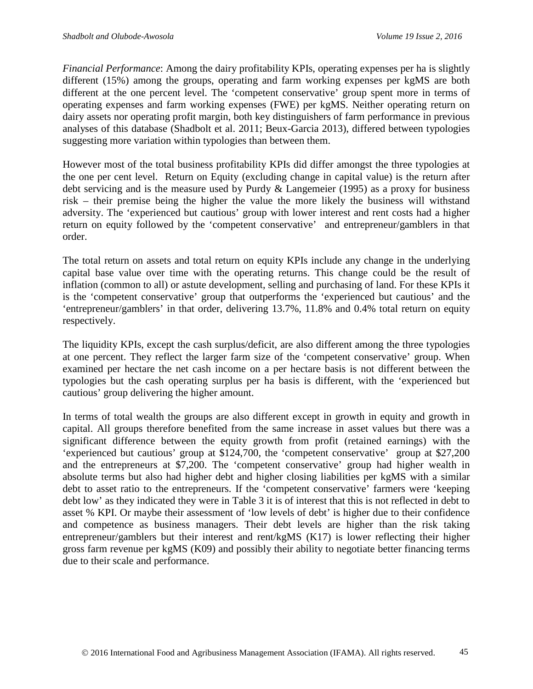*Financial Performance*: Among the dairy profitability KPIs, operating expenses per ha is slightly different (15%) among the groups, operating and farm working expenses per kgMS are both different at the one percent level. The 'competent conservative' group spent more in terms of operating expenses and farm working expenses (FWE) per kgMS. Neither operating return on dairy assets nor operating profit margin, both key distinguishers of farm performance in previous analyses of this database (Shadbolt et al. 2011; Beux-Garcia 2013), differed between typologies suggesting more variation within typologies than between them.

However most of the total business profitability KPIs did differ amongst the three typologies at the one per cent level. Return on Equity (excluding change in capital value) is the return after debt servicing and is the measure used by Purdy & Langemeier (1995) as a proxy for business risk – their premise being the higher the value the more likely the business will withstand adversity. The 'experienced but cautious' group with lower interest and rent costs had a higher return on equity followed by the 'competent conservative' and entrepreneur/gamblers in that order.

The total return on assets and total return on equity KPIs include any change in the underlying capital base value over time with the operating returns. This change could be the result of inflation (common to all) or astute development, selling and purchasing of land. For these KPIs it is the 'competent conservative' group that outperforms the 'experienced but cautious' and the 'entrepreneur/gamblers' in that order, delivering 13.7%, 11.8% and 0.4% total return on equity respectively.

The liquidity KPIs, except the cash surplus/deficit, are also different among the three typologies at one percent. They reflect the larger farm size of the 'competent conservative' group. When examined per hectare the net cash income on a per hectare basis is not different between the typologies but the cash operating surplus per ha basis is different, with the 'experienced but cautious' group delivering the higher amount.

In terms of total wealth the groups are also different except in growth in equity and growth in capital. All groups therefore benefited from the same increase in asset values but there was a significant difference between the equity growth from profit (retained earnings) with the 'experienced but cautious' group at \$124,700, the 'competent conservative' group at \$27,200 and the entrepreneurs at \$7,200. The 'competent conservative' group had higher wealth in absolute terms but also had higher debt and higher closing liabilities per kgMS with a similar debt to asset ratio to the entrepreneurs. If the 'competent conservative' farmers were 'keeping debt low' as they indicated they were in Table 3 it is of interest that this is not reflected in debt to asset % KPI. Or maybe their assessment of 'low levels of debt' is higher due to their confidence and competence as business managers. Their debt levels are higher than the risk taking entrepreneur/gamblers but their interest and rent/kgMS (K17) is lower reflecting their higher gross farm revenue per kgMS (K09) and possibly their ability to negotiate better financing terms due to their scale and performance.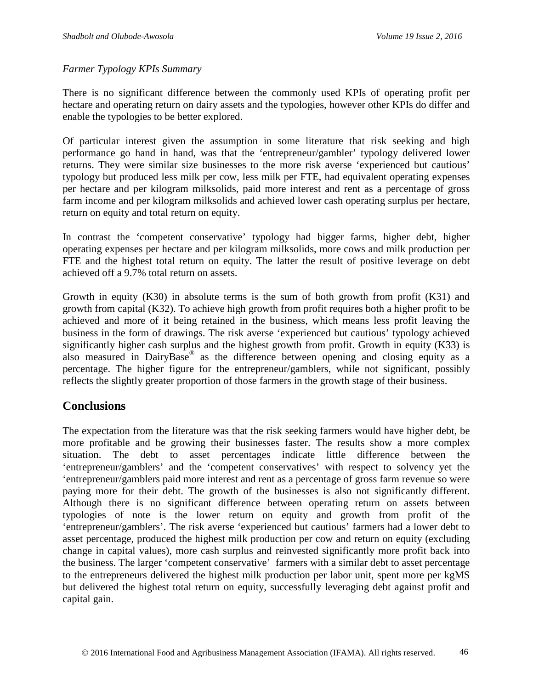#### *Farmer Typology KPIs Summary*

There is no significant difference between the commonly used KPIs of operating profit per hectare and operating return on dairy assets and the typologies, however other KPIs do differ and enable the typologies to be better explored.

Of particular interest given the assumption in some literature that risk seeking and high performance go hand in hand, was that the 'entrepreneur/gambler' typology delivered lower returns. They were similar size businesses to the more risk averse 'experienced but cautious' typology but produced less milk per cow, less milk per FTE, had equivalent operating expenses per hectare and per kilogram milksolids, paid more interest and rent as a percentage of gross farm income and per kilogram milksolids and achieved lower cash operating surplus per hectare, return on equity and total return on equity.

In contrast the 'competent conservative' typology had bigger farms, higher debt, higher operating expenses per hectare and per kilogram milksolids, more cows and milk production per FTE and the highest total return on equity. The latter the result of positive leverage on debt achieved off a 9.7% total return on assets.

Growth in equity  $(K30)$  in absolute terms is the sum of both growth from profit  $(K31)$  and growth from capital (K32). To achieve high growth from profit requires both a higher profit to be achieved and more of it being retained in the business, which means less profit leaving the business in the form of drawings. The risk averse 'experienced but cautious' typology achieved significantly higher cash surplus and the highest growth from profit. Growth in equity (K33) is also measured in DairyBase® as the difference between opening and closing equity as a percentage. The higher figure for the entrepreneur/gamblers, while not significant, possibly reflects the slightly greater proportion of those farmers in the growth stage of their business.

### **Conclusions**

The expectation from the literature was that the risk seeking farmers would have higher debt, be more profitable and be growing their businesses faster. The results show a more complex situation. The debt to asset percentages indicate little difference between the 'entrepreneur/gamblers' and the 'competent conservatives' with respect to solvency yet the 'entrepreneur/gamblers paid more interest and rent as a percentage of gross farm revenue so were paying more for their debt. The growth of the businesses is also not significantly different. Although there is no significant difference between operating return on assets between typologies of note is the lower return on equity and growth from profit of the 'entrepreneur/gamblers'. The risk averse 'experienced but cautious' farmers had a lower debt to asset percentage, produced the highest milk production per cow and return on equity (excluding change in capital values), more cash surplus and reinvested significantly more profit back into the business. The larger 'competent conservative' farmers with a similar debt to asset percentage to the entrepreneurs delivered the highest milk production per labor unit, spent more per kgMS but delivered the highest total return on equity, successfully leveraging debt against profit and capital gain.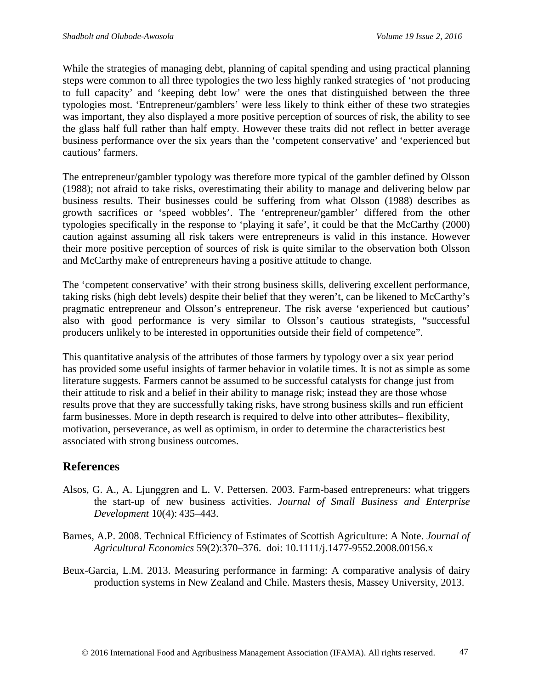While the strategies of managing debt, planning of capital spending and using practical planning steps were common to all three typologies the two less highly ranked strategies of 'not producing to full capacity' and 'keeping debt low' were the ones that distinguished between the three typologies most. 'Entrepreneur/gamblers' were less likely to think either of these two strategies was important, they also displayed a more positive perception of sources of risk, the ability to see the glass half full rather than half empty. However these traits did not reflect in better average business performance over the six years than the 'competent conservative' and 'experienced but cautious' farmers.

The entrepreneur/gambler typology was therefore more typical of the gambler defined by Olsson (1988); not afraid to take risks, overestimating their ability to manage and delivering below par business results. Their businesses could be suffering from what Olsson (1988) describes as growth sacrifices or 'speed wobbles'. The 'entrepreneur/gambler' differed from the other typologies specifically in the response to 'playing it safe', it could be that the McCarthy (2000) caution against assuming all risk takers were entrepreneurs is valid in this instance. However their more positive perception of sources of risk is quite similar to the observation both Olsson and McCarthy make of entrepreneurs having a positive attitude to change.

The 'competent conservative' with their strong business skills, delivering excellent performance, taking risks (high debt levels) despite their belief that they weren't, can be likened to McCarthy's pragmatic entrepreneur and Olsson's entrepreneur. The risk averse 'experienced but cautious' also with good performance is very similar to Olsson's cautious strategists, "successful producers unlikely to be interested in opportunities outside their field of competence".

This quantitative analysis of the attributes of those farmers by typology over a six year period has provided some useful insights of farmer behavior in volatile times. It is not as simple as some literature suggests. Farmers cannot be assumed to be successful catalysts for change just from their attitude to risk and a belief in their ability to manage risk; instead they are those whose results prove that they are successfully taking risks, have strong business skills and run efficient farm businesses. More in depth research is required to delve into other attributes– flexibility, motivation, perseverance, as well as optimism, in order to determine the characteristics best associated with strong business outcomes.

## **References**

- Alsos, G. A., A. Ljunggren and L. V. Pettersen. 2003. Farm-based entrepreneurs: what triggers the start-up of new business activities. *Journal of Small Business and Enterprise Development* 10(4): 435–443.
- Barnes, A.P. 2008. Technical Efficiency of Estimates of Scottish Agriculture: A Note. *Journal of Agricultural Economics* 59(2):370–376. doi: 10.1111/j.1477-9552.2008.00156.x
- Beux-Garcia, L.M. 2013. Measuring performance in farming: A comparative analysis of dairy production systems in New Zealand and Chile. Masters thesis, Massey University, 2013.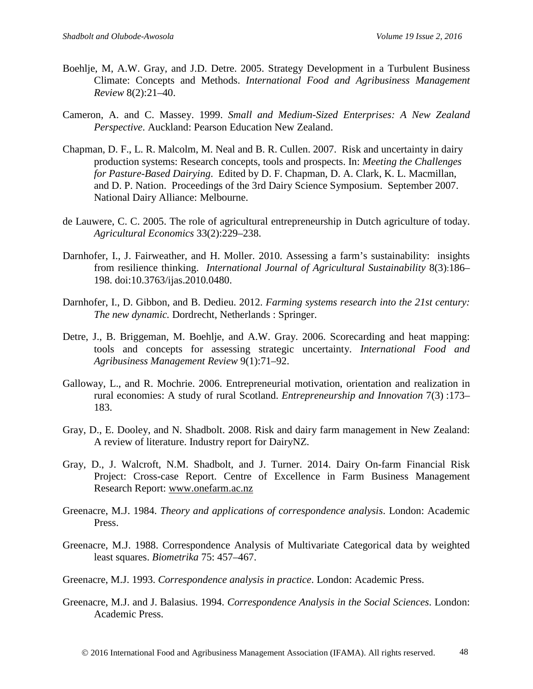- Boehlje, M, A.W. Gray, and J.D. Detre. 2005. Strategy Development in a Turbulent Business Climate: Concepts and Methods. *International Food and Agribusiness Management Review* 8(2):21–40.
- Cameron, A. and C. Massey. 1999. *Small and Medium-Sized Enterprises: A New Zealand Perspective*. Auckland: Pearson Education New Zealand.
- Chapman, D. F., L. R. Malcolm, M. Neal and B. R. Cullen. 2007. Risk and uncertainty in dairy production systems: Research concepts, tools and prospects. In: *Meeting the Challenges for Pasture-Based Dairying*. Edited by D. F. Chapman, D. A. Clark, K. L. Macmillan, and D. P. Nation. Proceedings of the 3rd Dairy Science Symposium. September 2007. National Dairy Alliance: Melbourne.
- de Lauwere, C. C. 2005. The role of agricultural entrepreneurship in Dutch agriculture of today. *Agricultural Economics* 33(2):229–238.
- Darnhofer, I., J. Fairweather, and H. Moller. 2010. Assessing a farm's sustainability: insights from resilience thinking. *International Journal of Agricultural Sustainability* 8(3):186– 198. doi:10.3763/ijas.2010.0480.
- Darnhofer, I., D. Gibbon, and B. Dedieu. 2012. *Farming systems research into the 21st century: The new dynamic.* Dordrecht, Netherlands : Springer.
- Detre, J., B. Briggeman, M. Boehlje, and A.W. Gray. 2006. Scorecarding and heat mapping: tools and concepts for assessing strategic uncertainty. *International Food and Agribusiness Management Review* 9(1):71–92.
- Galloway, L., and R. Mochrie. 2006. Entrepreneurial motivation, orientation and realization in rural economies: A study of rural Scotland. *Entrepreneurship and Innovation* 7(3) :173– 183.
- Gray, D., E. Dooley, and N. Shadbolt. 2008. Risk and dairy farm management in New Zealand: A review of literature. Industry report for DairyNZ.
- Gray, D., J. Walcroft, N.M. Shadbolt, and J. Turner. 2014. Dairy On-farm Financial Risk Project: Cross-case Report. Centre of Excellence in Farm Business Management Research Report: [www.onefarm.ac.nz](http://www.onefarm.ac.nz/)
- Greenacre, M.J. 1984. *Theory and applications of correspondence analysis*. London: Academic Press.
- Greenacre, M.J. 1988. Correspondence Analysis of Multivariate Categorical data by weighted least squares. *Biometrika* 75: 457–467.
- Greenacre, M.J. 1993. *Correspondence analysis in practice*. London: Academic Press.
- Greenacre, M.J. and J. Balasius. 1994. *Correspondence Analysis in the Social Sciences*. London: Academic Press.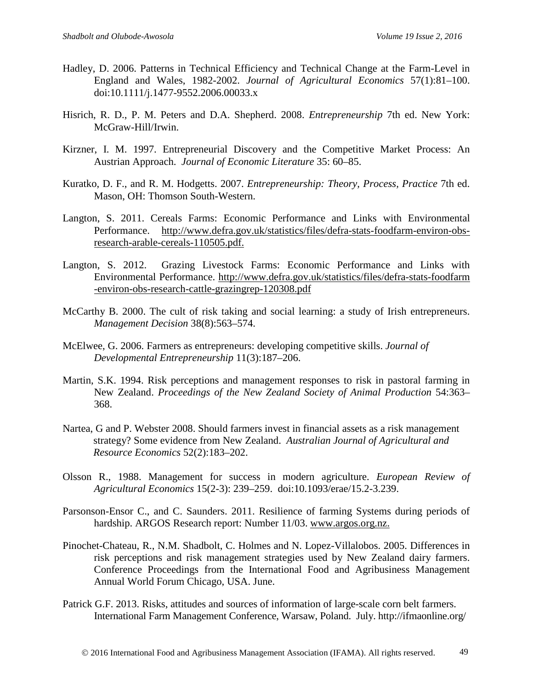- Hadley, D. 2006. Patterns in Technical Efficiency and Technical Change at the Farm-Level in England and Wales, 1982-2002. *Journal of Agricultural Economics* 57(1):81–100. doi:10.1111/j.1477-9552.2006.00033.x
- Hisrich, R. D., P. M. Peters and D.A. Shepherd. 2008. *Entrepreneurship* 7th ed. New York: McGraw-Hill/Irwin.
- Kirzner, I. M. 1997. Entrepreneurial Discovery and the Competitive Market Process: An Austrian Approach. *Journal of Economic Literature* 35: 60–85.
- Kuratko, D. F., and R. M. Hodgetts. 2007. *Entrepreneurship: Theory, Process, Practice* 7th ed. Mason, OH: Thomson South-Western.
- Langton, S. 2011. Cereals Farms: Economic Performance and Links with Environmental Performance. [http://www.defra.gov.uk/statistics/files/defra-stats-foodfarm-environ-obs](http://www.defra.gov.uk/statistics/files/defra-stats-foodfarm-environ-obs-research-arable-cereals-110505.pdf)[research-arable-cereals-110505.pdf.](http://www.defra.gov.uk/statistics/files/defra-stats-foodfarm-environ-obs-research-arable-cereals-110505.pdf)
- Langton, S. 2012. Grazing Livestock Farms: Economic Performance and Links with Environmental Performance. [http://www.defra.gov.uk/statistics/files/defra-stats-foodfarm](http://www.defra.gov.uk/statistics/files/defra-stats-foodfarm%20-environ-obs-research-cattle-grazingrep-120308.pdf)  [-environ-obs-research-cattle-grazingrep-120308.pdf](http://www.defra.gov.uk/statistics/files/defra-stats-foodfarm%20-environ-obs-research-cattle-grazingrep-120308.pdf)
- McCarthy B. 2000. The cult of risk taking and social learning: a study of Irish entrepreneurs. *Management Decision* 38(8):563–574.
- McElwee, G. 2006. Farmers as entrepreneurs: developing competitive skills. *Journal of Developmental Entrepreneurship* 11(3):187–206.
- Martin, S.K. 1994. Risk perceptions and management responses to risk in pastoral farming in New Zealand. *Proceedings of the New Zealand Society of Animal Production* 54:363– 368.
- Nartea, G and P. Webster 2008. Should farmers invest in financial assets as a risk management strategy? Some evidence from New Zealand. *Australian Journal of Agricultural and Resource Economics* 52(2):183–202.
- Olsson R., 1988. Management for success in modern agriculture. *European Review of Agricultural Economics* 15(2-3): 239–259. doi:10.1093/erae/15.2-3.239.
- Parsonson-Ensor C., and C. Saunders. 2011. Resilience of farming Systems during periods of hardship. ARGOS Research report: Number 11/03. [www.argos.org.nz.](http://www.argos.org.nz/)
- Pinochet-Chateau, R., N.M. Shadbolt, C. Holmes and N. Lopez-Villalobos. 2005. Differences in risk perceptions and risk management strategies used by New Zealand dairy farmers. Conference Proceedings from the International Food and Agribusiness Management Annual World Forum Chicago, USA. June.
- Patrick G.F. 2013. Risks, attitudes and sources of information of large-scale corn belt farmers. International Farm Management Conference, Warsaw, Poland. July. http://ifmaonline.org/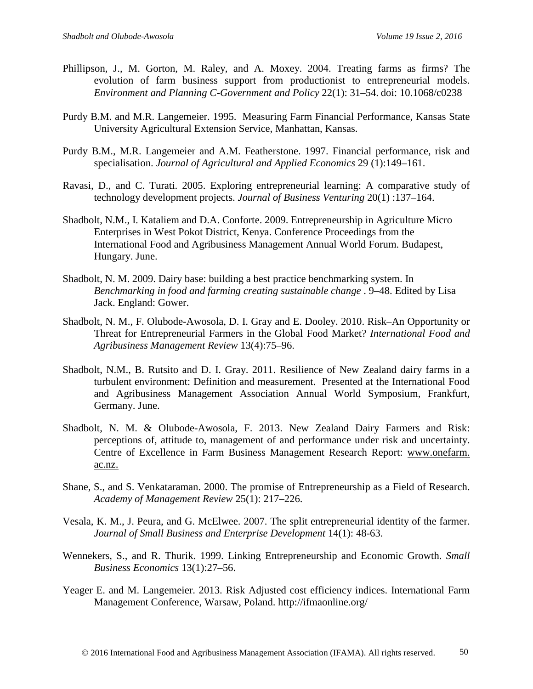- Phillipson, J., M. Gorton, M. Raley, and A. Moxey. 2004. Treating farms as firms? The evolution of farm business support from productionist to entrepreneurial models. *Environment and Planning C-Government and Policy* 22(1): 31–54. doi: 10.1068/c0238
- Purdy B.M. and M.R. Langemeier. 1995. Measuring Farm Financial Performance, Kansas State University Agricultural Extension Service, Manhattan, Kansas.
- Purdy B.M., M.R. Langemeier and A.M. Featherstone. 1997. Financial performance, risk and specialisation. *Journal of Agricultural and Applied Economics* 29 (1):149–161.
- Ravasi, D., and C. Turati. 2005. Exploring entrepreneurial learning: A comparative study of technology development projects. *Journal of Business Venturing* 20(1) :137–164.
- Shadbolt, N.M., I. Kataliem and D.A. Conforte. 2009. Entrepreneurship in Agriculture Micro Enterprises in West Pokot District, Kenya. Conference Proceedings from the International Food and Agribusiness Management Annual World Forum. Budapest, Hungary. June.
- Shadbolt, N. M. 2009. Dairy base: building a best practice benchmarking system. In *Benchmarking in food and farming creating sustainable change* . 9–48. Edited by Lisa Jack. England: Gower.
- Shadbolt, N. M., F. Olubode-Awosola, D. I. Gray and E. Dooley. 2010. Risk–An Opportunity or Threat for Entrepreneurial Farmers in the Global Food Market? *International Food and Agribusiness Management Review* 13(4):75–96.
- Shadbolt, N.M., B. Rutsito and D. I. Gray. 2011. Resilience of New Zealand dairy farms in a turbulent environment: Definition and measurement. Presented at the International Food and Agribusiness Management Association Annual World Symposium, Frankfurt, Germany. June.
- Shadbolt, N. M. & Olubode-Awosola, F. 2013. New Zealand Dairy Farmers and Risk: perceptions of, attitude to, management of and performance under risk and uncertainty. Centre of Excellence in Farm Business Management Research Report: www.onefarm. ac.nz.
- Shane, S., and S. Venkataraman. 2000. The promise of Entrepreneurship as a Field of Research. *Academy of Management Review* 25(1): 217–226.
- Vesala, K. M., J. Peura, and G. McElwee. 2007. The split entrepreneurial identity of the farmer. *Journal of Small Business and Enterprise Development* 14(1): 48-63.
- Wennekers, S., and R. Thurik. 1999. Linking Entrepreneurship and Economic Growth. *Small Business Economics* 13(1):27–56.
- Yeager E. and M. Langemeier. 2013. Risk Adjusted cost efficiency indices. International Farm Management Conference, Warsaw, Poland. http://ifmaonline.org/